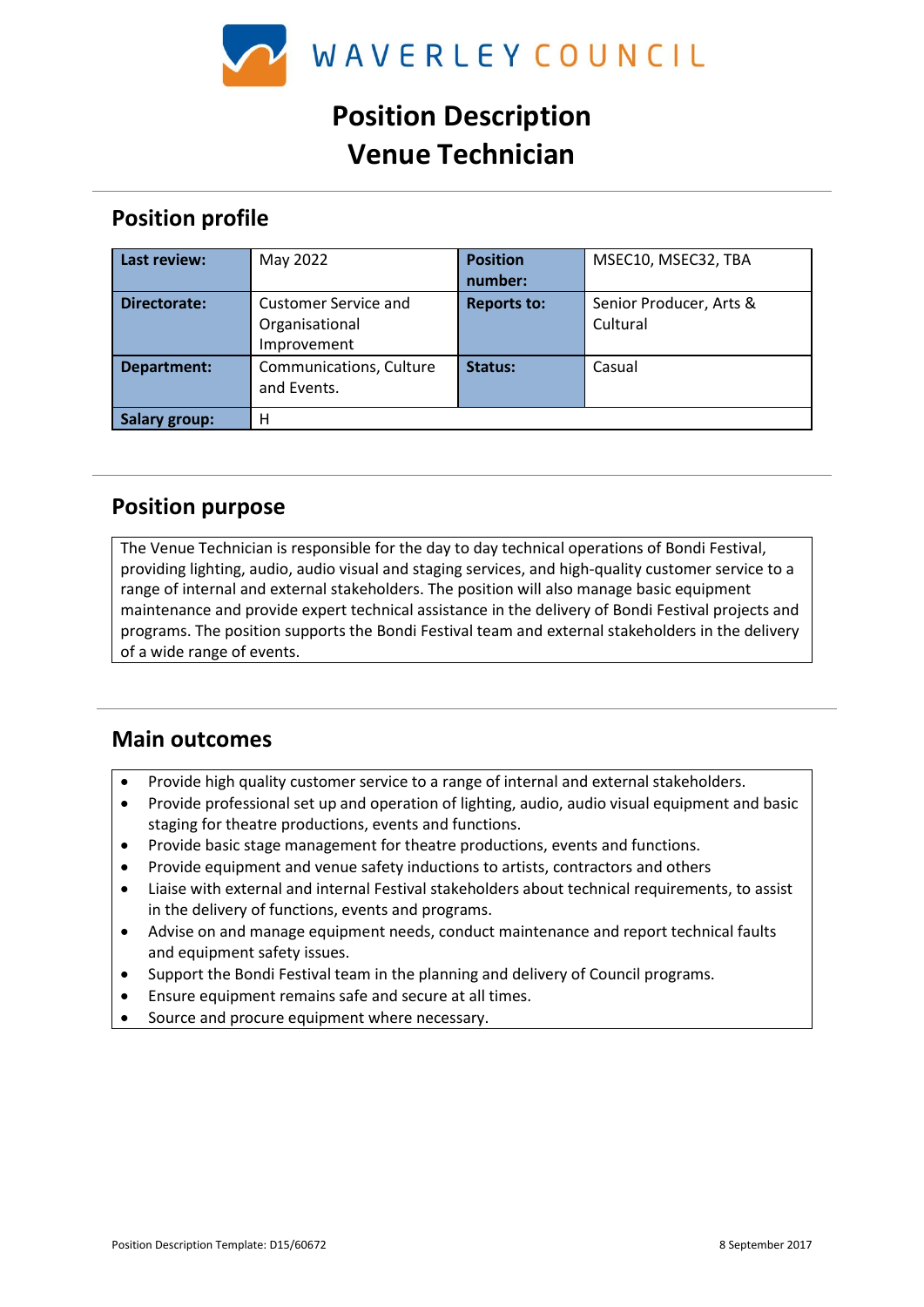

# **Position Description Venue Technician**

## **Position profile**

| Last review:         | May 2022                | <b>Position</b>    | MSEC10, MSEC32, TBA     |
|----------------------|-------------------------|--------------------|-------------------------|
|                      |                         | number:            |                         |
| Directorate:         | Customer Service and    | <b>Reports to:</b> | Senior Producer, Arts & |
|                      | Organisational          |                    | Cultural                |
|                      | Improvement             |                    |                         |
| Department:          | Communications, Culture | Status:            | Casual                  |
|                      | and Events.             |                    |                         |
| <b>Salary group:</b> | н                       |                    |                         |

#### **Position purpose**

The Venue Technician is responsible for the day to day technical operations of Bondi Festival, providing lighting, audio, audio visual and staging services, and high-quality customer service to a range of internal and external stakeholders. The position will also manage basic equipment maintenance and provide expert technical assistance in the delivery of Bondi Festival projects and programs. The position supports the Bondi Festival team and external stakeholders in the delivery of a wide range of events.

## **Main outcomes**

- Provide high quality customer service to a range of internal and external stakeholders.
- Provide professional set up and operation of lighting, audio, audio visual equipment and basic staging for theatre productions, events and functions.
- Provide basic stage management for theatre productions, events and functions.
- Provide equipment and venue safety inductions to artists, contractors and others
- Liaise with external and internal Festival stakeholders about technical requirements, to assist in the delivery of functions, events and programs.
- Advise on and manage equipment needs, conduct maintenance and report technical faults and equipment safety issues.
- Support the Bondi Festival team in the planning and delivery of Council programs.
- Ensure equipment remains safe and secure at all times.
- Source and procure equipment where necessary.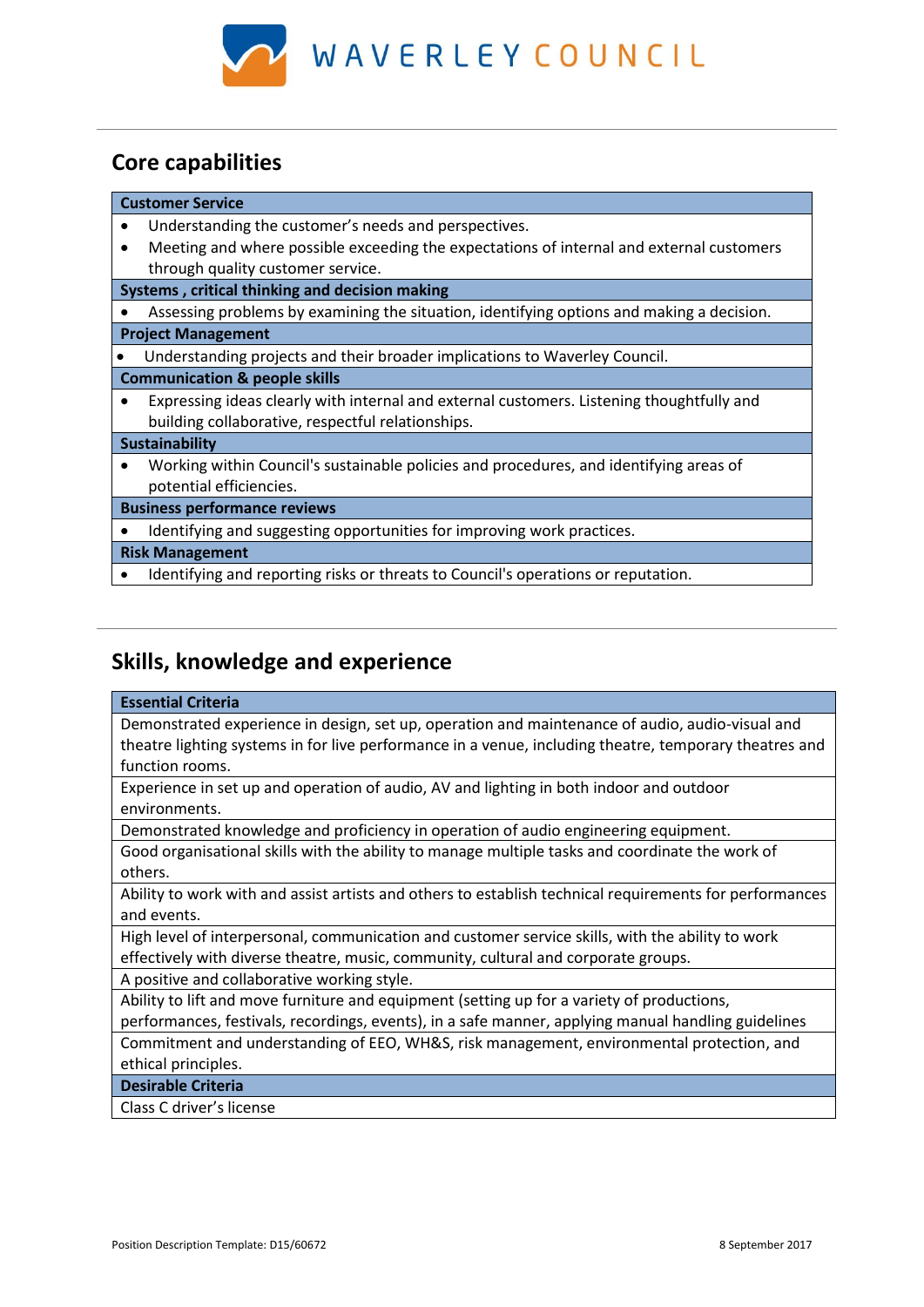

# **Core capabilities**

| <b>Customer Service</b>                        |                                                                                           |  |  |
|------------------------------------------------|-------------------------------------------------------------------------------------------|--|--|
|                                                | Understanding the customer's needs and perspectives.                                      |  |  |
|                                                | Meeting and where possible exceeding the expectations of internal and external customers  |  |  |
|                                                | through quality customer service.                                                         |  |  |
| Systems, critical thinking and decision making |                                                                                           |  |  |
|                                                | Assessing problems by examining the situation, identifying options and making a decision. |  |  |
| <b>Project Management</b>                      |                                                                                           |  |  |
|                                                | Understanding projects and their broader implications to Waverley Council.                |  |  |
| <b>Communication &amp; people skills</b>       |                                                                                           |  |  |
|                                                | Expressing ideas clearly with internal and external customers. Listening thoughtfully and |  |  |
|                                                | building collaborative, respectful relationships.                                         |  |  |
| <b>Sustainability</b>                          |                                                                                           |  |  |
|                                                | Working within Council's sustainable policies and procedures, and identifying areas of    |  |  |
|                                                | potential efficiencies.                                                                   |  |  |
| <b>Business performance reviews</b>            |                                                                                           |  |  |
|                                                | Identifying and suggesting opportunities for improving work practices.                    |  |  |
| <b>Risk Management</b>                         |                                                                                           |  |  |
|                                                | Identifying and reporting risks or threats to Council's operations or reputation.         |  |  |
|                                                |                                                                                           |  |  |
|                                                |                                                                                           |  |  |

# **Skills, knowledge and experience**

#### **Essential Criteria**

Demonstrated experience in design, set up, operation and maintenance of audio, audio-visual and theatre lighting systems in for live performance in a venue, including theatre, temporary theatres and function rooms.

Experience in set up and operation of audio, AV and lighting in both indoor and outdoor environments.

Demonstrated knowledge and proficiency in operation of audio engineering equipment.

Good organisational skills with the ability to manage multiple tasks and coordinate the work of others.

Ability to work with and assist artists and others to establish technical requirements for performances and events.

High level of interpersonal, communication and customer service skills, with the ability to work effectively with diverse theatre, music, community, cultural and corporate groups.

A positive and collaborative working style.

Ability to lift and move furniture and equipment (setting up for a variety of productions,

performances, festivals, recordings, events), in a safe manner, applying manual handling guidelines Commitment and understanding of EEO, WH&S, risk management, environmental protection, and ethical principles.

**Desirable Criteria**

Class C driver's license